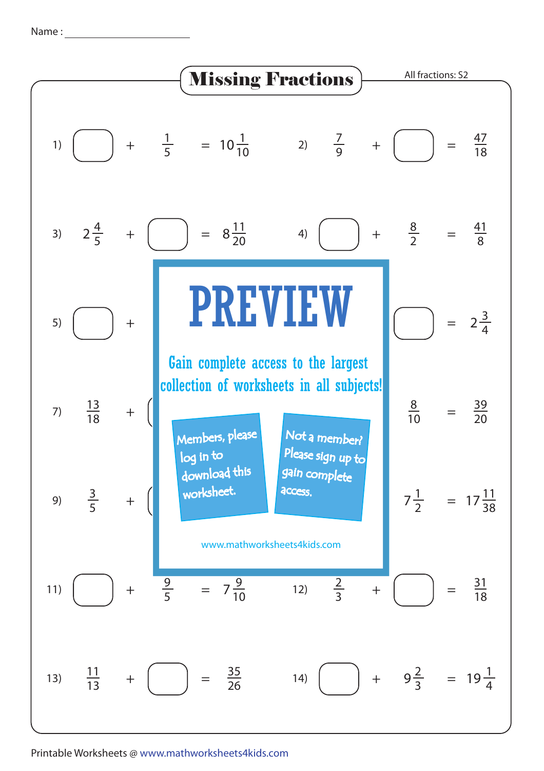